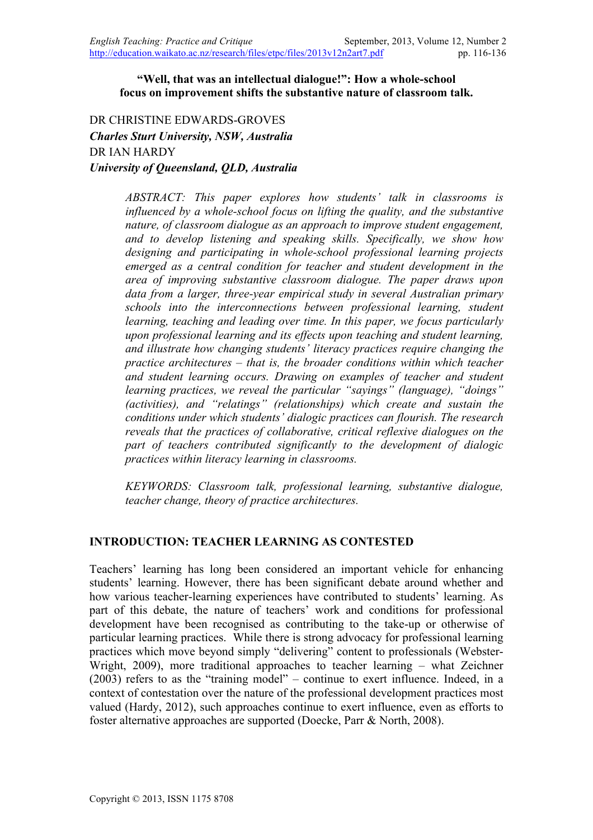#### **"Well, that was an intellectual dialogue!": How a whole-school focus on improvement shifts the substantive nature of classroom talk.**

DR CHRISTINE EDWARDS-GROVES *Charles Sturt University, NSW, Australia* DR IAN HARDY *University of Queensland, QLD, Australia*

> *ABSTRACT: This paper explores how students' talk in classrooms is influenced by a whole-school focus on lifting the quality, and the substantive nature, of classroom dialogue as an approach to improve student engagement, and to develop listening and speaking skills. Specifically, we show how designing and participating in whole-school professional learning projects emerged as a central condition for teacher and student development in the area of improving substantive classroom dialogue. The paper draws upon data from a larger, three-year empirical study in several Australian primary schools into the interconnections between professional learning, student learning, teaching and leading over time. In this paper, we focus particularly upon professional learning and its effects upon teaching and student learning, and illustrate how changing students' literacy practices require changing the practice architectures – that is, the broader conditions within which teacher and student learning occurs. Drawing on examples of teacher and student learning practices, we reveal the particular "sayings" (language), "doings" (activities), and "relatings" (relationships) which create and sustain the conditions under which students' dialogic practices can flourish. The research reveals that the practices of collaborative, critical reflexive dialogues on the part of teachers contributed significantly to the development of dialogic practices within literacy learning in classrooms.*

> *KEYWORDS: Classroom talk, professional learning, substantive dialogue, teacher change, theory of practice architectures.*

### **INTRODUCTION: TEACHER LEARNING AS CONTESTED**

Teachers' learning has long been considered an important vehicle for enhancing students' learning. However, there has been significant debate around whether and how various teacher-learning experiences have contributed to students' learning. As part of this debate, the nature of teachers' work and conditions for professional development have been recognised as contributing to the take-up or otherwise of particular learning practices. While there is strong advocacy for professional learning practices which move beyond simply "delivering" content to professionals (Webster-Wright, 2009), more traditional approaches to teacher learning – what Zeichner (2003) refers to as the "training model" – continue to exert influence. Indeed, in a context of contestation over the nature of the professional development practices most valued (Hardy, 2012), such approaches continue to exert influence, even as efforts to foster alternative approaches are supported (Doecke, Parr & North, 2008).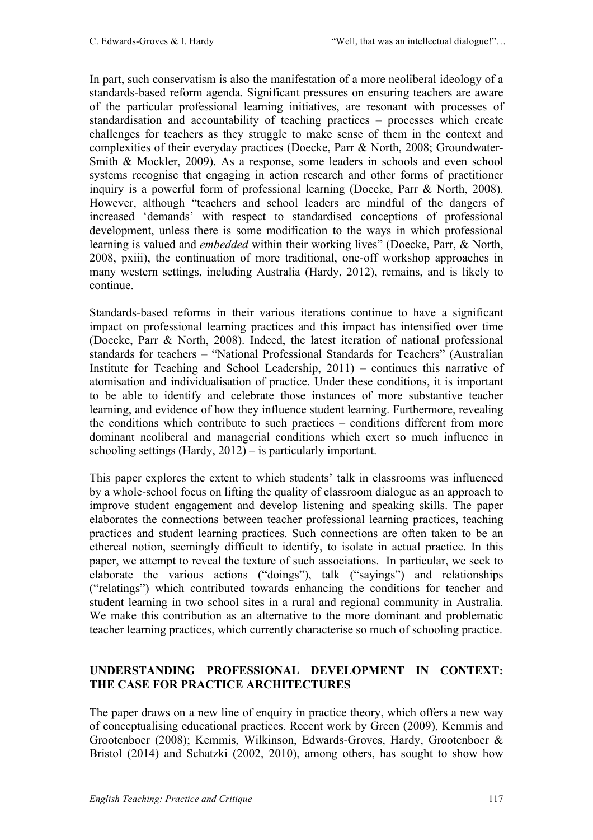In part, such conservatism is also the manifestation of a more neoliberal ideology of a standards-based reform agenda. Significant pressures on ensuring teachers are aware of the particular professional learning initiatives, are resonant with processes of standardisation and accountability of teaching practices – processes which create challenges for teachers as they struggle to make sense of them in the context and complexities of their everyday practices (Doecke, Parr & North, 2008; Groundwater-Smith & Mockler, 2009). As a response, some leaders in schools and even school systems recognise that engaging in action research and other forms of practitioner inquiry is a powerful form of professional learning (Doecke, Parr & North, 2008). However, although "teachers and school leaders are mindful of the dangers of increased 'demands' with respect to standardised conceptions of professional development, unless there is some modification to the ways in which professional learning is valued and *embedded* within their working lives" (Doecke, Parr, & North, 2008, pxiii), the continuation of more traditional, one-off workshop approaches in many western settings, including Australia (Hardy, 2012), remains, and is likely to continue.

Standards-based reforms in their various iterations continue to have a significant impact on professional learning practices and this impact has intensified over time (Doecke, Parr & North, 2008). Indeed, the latest iteration of national professional standards for teachers – "National Professional Standards for Teachers" (Australian Institute for Teaching and School Leadership, 2011) – continues this narrative of atomisation and individualisation of practice. Under these conditions, it is important to be able to identify and celebrate those instances of more substantive teacher learning, and evidence of how they influence student learning. Furthermore, revealing the conditions which contribute to such practices – conditions different from more dominant neoliberal and managerial conditions which exert so much influence in schooling settings (Hardy, 2012) – is particularly important.

This paper explores the extent to which students' talk in classrooms was influenced by a whole-school focus on lifting the quality of classroom dialogue as an approach to improve student engagement and develop listening and speaking skills. The paper elaborates the connections between teacher professional learning practices, teaching practices and student learning practices. Such connections are often taken to be an ethereal notion, seemingly difficult to identify, to isolate in actual practice. In this paper, we attempt to reveal the texture of such associations. In particular, we seek to elaborate the various actions ("doings"), talk ("sayings") and relationships ("relatings") which contributed towards enhancing the conditions for teacher and student learning in two school sites in a rural and regional community in Australia. We make this contribution as an alternative to the more dominant and problematic teacher learning practices, which currently characterise so much of schooling practice.

# **UNDERSTANDING PROFESSIONAL DEVELOPMENT IN CONTEXT: THE CASE FOR PRACTICE ARCHITECTURES**

The paper draws on a new line of enquiry in practice theory, which offers a new way of conceptualising educational practices. Recent work by Green (2009), Kemmis and Grootenboer (2008); Kemmis, Wilkinson, Edwards-Groves, Hardy, Grootenboer & Bristol (2014) and Schatzki (2002, 2010), among others, has sought to show how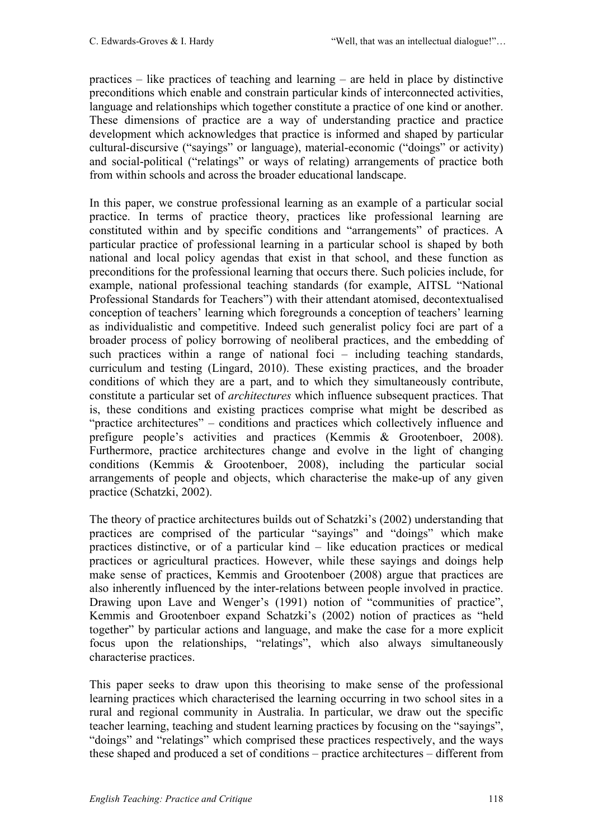practices – like practices of teaching and learning – are held in place by distinctive preconditions which enable and constrain particular kinds of interconnected activities, language and relationships which together constitute a practice of one kind or another. These dimensions of practice are a way of understanding practice and practice development which acknowledges that practice is informed and shaped by particular cultural-discursive ("sayings" or language), material-economic ("doings" or activity) and social-political ("relatings" or ways of relating) arrangements of practice both from within schools and across the broader educational landscape.

In this paper, we construe professional learning as an example of a particular social practice. In terms of practice theory, practices like professional learning are constituted within and by specific conditions and "arrangements" of practices. A particular practice of professional learning in a particular school is shaped by both national and local policy agendas that exist in that school, and these function as preconditions for the professional learning that occurs there. Such policies include, for example, national professional teaching standards (for example, AITSL "National Professional Standards for Teachers") with their attendant atomised, decontextualised conception of teachers' learning which foregrounds a conception of teachers' learning as individualistic and competitive. Indeed such generalist policy foci are part of a broader process of policy borrowing of neoliberal practices, and the embedding of such practices within a range of national foci – including teaching standards, curriculum and testing (Lingard, 2010). These existing practices, and the broader conditions of which they are a part, and to which they simultaneously contribute, constitute a particular set of *architectures* which influence subsequent practices. That is, these conditions and existing practices comprise what might be described as "practice architectures" – conditions and practices which collectively influence and prefigure people's activities and practices (Kemmis & Grootenboer, 2008). Furthermore, practice architectures change and evolve in the light of changing conditions (Kemmis & Grootenboer, 2008), including the particular social arrangements of people and objects, which characterise the make-up of any given practice (Schatzki, 2002).

The theory of practice architectures builds out of Schatzki's (2002) understanding that practices are comprised of the particular "sayings" and "doings" which make practices distinctive, or of a particular kind – like education practices or medical practices or agricultural practices. However, while these sayings and doings help make sense of practices, Kemmis and Grootenboer (2008) argue that practices are also inherently influenced by the inter-relations between people involved in practice. Drawing upon Lave and Wenger's (1991) notion of "communities of practice", Kemmis and Grootenboer expand Schatzki's (2002) notion of practices as "held together" by particular actions and language, and make the case for a more explicit focus upon the relationships, "relatings", which also always simultaneously characterise practices.

This paper seeks to draw upon this theorising to make sense of the professional learning practices which characterised the learning occurring in two school sites in a rural and regional community in Australia. In particular, we draw out the specific teacher learning, teaching and student learning practices by focusing on the "sayings", "doings" and "relatings" which comprised these practices respectively, and the ways these shaped and produced a set of conditions – practice architectures – different from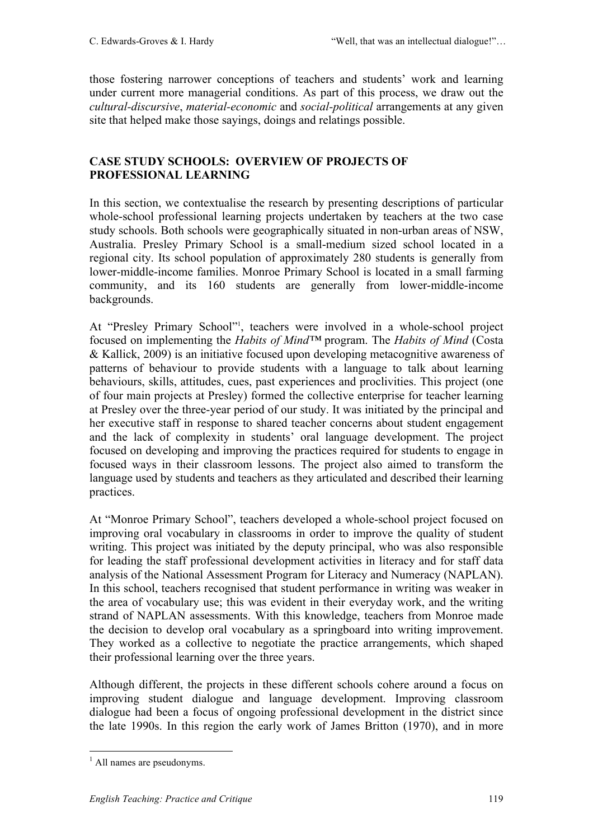those fostering narrower conceptions of teachers and students' work and learning under current more managerial conditions. As part of this process, we draw out the *cultural-discursive*, *material-economic* and *social-political* arrangements at any given site that helped make those sayings, doings and relatings possible.

### **CASE STUDY SCHOOLS: OVERVIEW OF PROJECTS OF PROFESSIONAL LEARNING**

In this section, we contextualise the research by presenting descriptions of particular whole-school professional learning projects undertaken by teachers at the two case study schools. Both schools were geographically situated in non-urban areas of NSW, Australia. Presley Primary School is a small-medium sized school located in a regional city. Its school population of approximately 280 students is generally from lower-middle-income families. Monroe Primary School is located in a small farming community, and its 160 students are generally from lower-middle-income backgrounds.

At "Presley Primary School"<sup>1</sup>, teachers were involved in a whole-school project focused on implementing the *Habits of Mind™* program. The *Habits of Mind* (Costa & Kallick, 2009) is an initiative focused upon developing metacognitive awareness of patterns of behaviour to provide students with a language to talk about learning behaviours, skills, attitudes, cues, past experiences and proclivities. This project (one of four main projects at Presley) formed the collective enterprise for teacher learning at Presley over the three-year period of our study. It was initiated by the principal and her executive staff in response to shared teacher concerns about student engagement and the lack of complexity in students' oral language development. The project focused on developing and improving the practices required for students to engage in focused ways in their classroom lessons. The project also aimed to transform the language used by students and teachers as they articulated and described their learning practices.

At "Monroe Primary School", teachers developed a whole-school project focused on improving oral vocabulary in classrooms in order to improve the quality of student writing. This project was initiated by the deputy principal, who was also responsible for leading the staff professional development activities in literacy and for staff data analysis of the National Assessment Program for Literacy and Numeracy (NAPLAN). In this school, teachers recognised that student performance in writing was weaker in the area of vocabulary use; this was evident in their everyday work, and the writing strand of NAPLAN assessments. With this knowledge, teachers from Monroe made the decision to develop oral vocabulary as a springboard into writing improvement. They worked as a collective to negotiate the practice arrangements, which shaped their professional learning over the three years.

Although different, the projects in these different schools cohere around a focus on improving student dialogue and language development. Improving classroom dialogue had been a focus of ongoing professional development in the district since the late 1990s. In this region the early work of James Britton (1970), and in more

 $<sup>1</sup>$  All names are pseudonyms.</sup>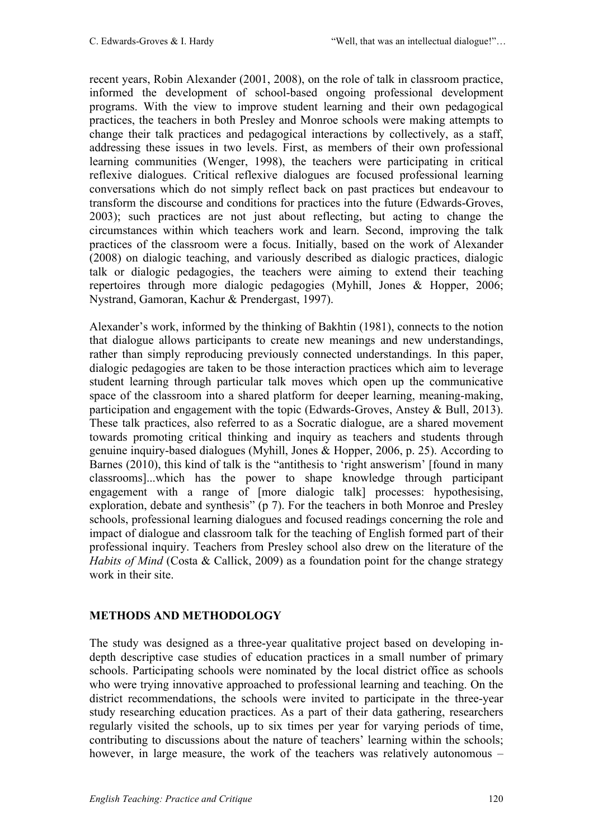recent years, Robin Alexander (2001, 2008), on the role of talk in classroom practice, informed the development of school-based ongoing professional development programs. With the view to improve student learning and their own pedagogical practices, the teachers in both Presley and Monroe schools were making attempts to change their talk practices and pedagogical interactions by collectively, as a staff, addressing these issues in two levels. First, as members of their own professional learning communities (Wenger, 1998), the teachers were participating in critical reflexive dialogues. Critical reflexive dialogues are focused professional learning conversations which do not simply reflect back on past practices but endeavour to transform the discourse and conditions for practices into the future (Edwards-Groves, 2003); such practices are not just about reflecting, but acting to change the circumstances within which teachers work and learn. Second, improving the talk practices of the classroom were a focus. Initially, based on the work of Alexander (2008) on dialogic teaching, and variously described as dialogic practices, dialogic talk or dialogic pedagogies, the teachers were aiming to extend their teaching repertoires through more dialogic pedagogies (Myhill, Jones & Hopper, 2006; Nystrand, Gamoran, Kachur & Prendergast, 1997).

Alexander's work, informed by the thinking of Bakhtin (1981), connects to the notion that dialogue allows participants to create new meanings and new understandings, rather than simply reproducing previously connected understandings. In this paper, dialogic pedagogies are taken to be those interaction practices which aim to leverage student learning through particular talk moves which open up the communicative space of the classroom into a shared platform for deeper learning, meaning-making, participation and engagement with the topic (Edwards-Groves, Anstey & Bull, 2013). These talk practices, also referred to as a Socratic dialogue, are a shared movement towards promoting critical thinking and inquiry as teachers and students through genuine inquiry-based dialogues (Myhill, Jones & Hopper, 2006, p. 25). According to Barnes (2010), this kind of talk is the "antithesis to 'right answerism' [found in many classrooms]...which has the power to shape knowledge through participant engagement with a range of [more dialogic talk] processes: hypothesising, exploration, debate and synthesis" (p 7). For the teachers in both Monroe and Presley schools, professional learning dialogues and focused readings concerning the role and impact of dialogue and classroom talk for the teaching of English formed part of their professional inquiry. Teachers from Presley school also drew on the literature of the *Habits of Mind* (Costa & Callick, 2009) as a foundation point for the change strategy work in their site.

# **METHODS AND METHODOLOGY**

The study was designed as a three-year qualitative project based on developing indepth descriptive case studies of education practices in a small number of primary schools. Participating schools were nominated by the local district office as schools who were trying innovative approached to professional learning and teaching. On the district recommendations, the schools were invited to participate in the three-year study researching education practices. As a part of their data gathering, researchers regularly visited the schools, up to six times per year for varying periods of time, contributing to discussions about the nature of teachers' learning within the schools; however, in large measure, the work of the teachers was relatively autonomous –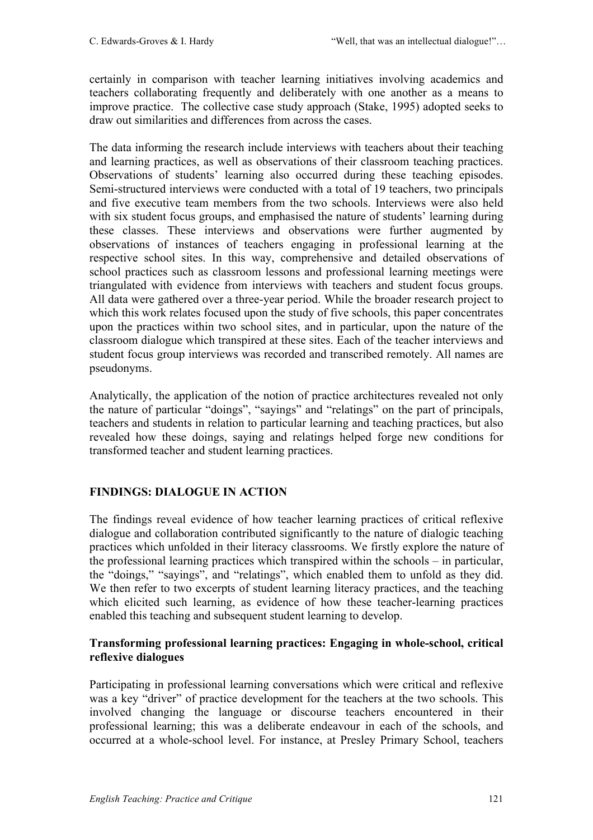certainly in comparison with teacher learning initiatives involving academics and teachers collaborating frequently and deliberately with one another as a means to improve practice. The collective case study approach (Stake, 1995) adopted seeks to draw out similarities and differences from across the cases.

The data informing the research include interviews with teachers about their teaching and learning practices, as well as observations of their classroom teaching practices. Observations of students' learning also occurred during these teaching episodes. Semi-structured interviews were conducted with a total of 19 teachers, two principals and five executive team members from the two schools. Interviews were also held with six student focus groups, and emphasised the nature of students' learning during these classes. These interviews and observations were further augmented by observations of instances of teachers engaging in professional learning at the respective school sites. In this way, comprehensive and detailed observations of school practices such as classroom lessons and professional learning meetings were triangulated with evidence from interviews with teachers and student focus groups. All data were gathered over a three-year period. While the broader research project to which this work relates focused upon the study of five schools, this paper concentrates upon the practices within two school sites, and in particular, upon the nature of the classroom dialogue which transpired at these sites. Each of the teacher interviews and student focus group interviews was recorded and transcribed remotely. All names are pseudonyms.

Analytically, the application of the notion of practice architectures revealed not only the nature of particular "doings", "sayings" and "relatings" on the part of principals, teachers and students in relation to particular learning and teaching practices, but also revealed how these doings, saying and relatings helped forge new conditions for transformed teacher and student learning practices.

# **FINDINGS: DIALOGUE IN ACTION**

The findings reveal evidence of how teacher learning practices of critical reflexive dialogue and collaboration contributed significantly to the nature of dialogic teaching practices which unfolded in their literacy classrooms. We firstly explore the nature of the professional learning practices which transpired within the schools – in particular, the "doings," "sayings", and "relatings", which enabled them to unfold as they did. We then refer to two excerpts of student learning literacy practices, and the teaching which elicited such learning, as evidence of how these teacher-learning practices enabled this teaching and subsequent student learning to develop.

### **Transforming professional learning practices: Engaging in whole-school, critical reflexive dialogues**

Participating in professional learning conversations which were critical and reflexive was a key "driver" of practice development for the teachers at the two schools. This involved changing the language or discourse teachers encountered in their professional learning; this was a deliberate endeavour in each of the schools, and occurred at a whole-school level. For instance, at Presley Primary School, teachers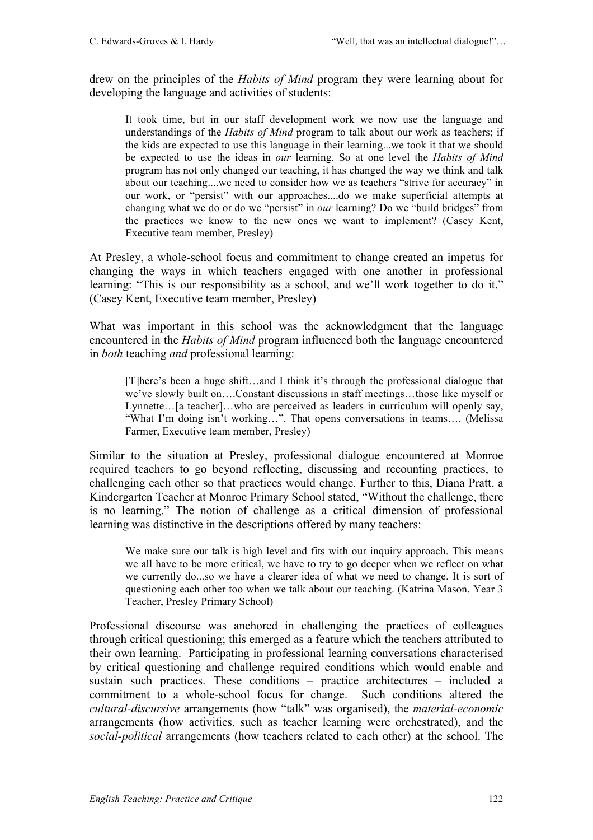drew on the principles of the *Habits of Mind* program they were learning about for developing the language and activities of students:

It took time, but in our staff development work we now use the language and understandings of the *Habits of Mind* program to talk about our work as teachers; if the kids are expected to use this language in their learning...we took it that we should be expected to use the ideas in *our* learning. So at one level the *Habits of Mind* program has not only changed our teaching, it has changed the way we think and talk about our teaching....we need to consider how we as teachers "strive for accuracy" in our work, or "persist" with our approaches....do we make superficial attempts at changing what we do or do we "persist" in *our* learning? Do we "build bridges" from the practices we know to the new ones we want to implement? (Casey Kent, Executive team member, Presley)

At Presley, a whole-school focus and commitment to change created an impetus for changing the ways in which teachers engaged with one another in professional learning: "This is our responsibility as a school, and we'll work together to do it." (Casey Kent, Executive team member, Presley)

What was important in this school was the acknowledgment that the language encountered in the *Habits of Mind* program influenced both the language encountered in *both* teaching *and* professional learning:

[T]here's been a huge shift…and I think it's through the professional dialogue that we've slowly built on….Constant discussions in staff meetings…those like myself or Lynnette…[a teacher]…who are perceived as leaders in curriculum will openly say, "What I'm doing isn't working...". That opens conversations in teams.... (Melissa Farmer, Executive team member, Presley)

Similar to the situation at Presley, professional dialogue encountered at Monroe required teachers to go beyond reflecting, discussing and recounting practices, to challenging each other so that practices would change. Further to this, Diana Pratt, a Kindergarten Teacher at Monroe Primary School stated, "Without the challenge, there is no learning." The notion of challenge as a critical dimension of professional learning was distinctive in the descriptions offered by many teachers:

We make sure our talk is high level and fits with our inquiry approach. This means we all have to be more critical, we have to try to go deeper when we reflect on what we currently do...so we have a clearer idea of what we need to change. It is sort of questioning each other too when we talk about our teaching. (Katrina Mason, Year 3 Teacher, Presley Primary School)

Professional discourse was anchored in challenging the practices of colleagues through critical questioning; this emerged as a feature which the teachers attributed to their own learning. Participating in professional learning conversations characterised by critical questioning and challenge required conditions which would enable and sustain such practices. These conditions – practice architectures – included a commitment to a whole-school focus for change. Such conditions altered the *cultural-discursive* arrangements (how "talk" was organised), the *material-economic* arrangements (how activities, such as teacher learning were orchestrated), and the *social-political* arrangements (how teachers related to each other) at the school. The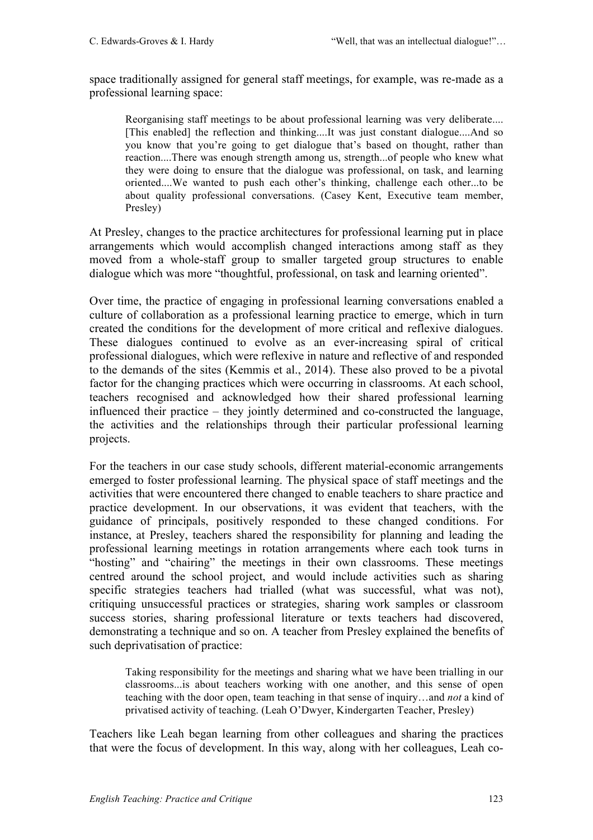space traditionally assigned for general staff meetings, for example, was re-made as a professional learning space:

Reorganising staff meetings to be about professional learning was very deliberate.... [This enabled] the reflection and thinking....It was just constant dialogue....And so you know that you're going to get dialogue that's based on thought, rather than reaction....There was enough strength among us, strength...of people who knew what they were doing to ensure that the dialogue was professional, on task, and learning oriented....We wanted to push each other's thinking, challenge each other...to be about quality professional conversations. (Casey Kent, Executive team member, Presley)

At Presley, changes to the practice architectures for professional learning put in place arrangements which would accomplish changed interactions among staff as they moved from a whole-staff group to smaller targeted group structures to enable dialogue which was more "thoughtful, professional, on task and learning oriented".

Over time, the practice of engaging in professional learning conversations enabled a culture of collaboration as a professional learning practice to emerge, which in turn created the conditions for the development of more critical and reflexive dialogues. These dialogues continued to evolve as an ever-increasing spiral of critical professional dialogues, which were reflexive in nature and reflective of and responded to the demands of the sites (Kemmis et al., 2014). These also proved to be a pivotal factor for the changing practices which were occurring in classrooms. At each school, teachers recognised and acknowledged how their shared professional learning influenced their practice – they jointly determined and co-constructed the language, the activities and the relationships through their particular professional learning projects.

For the teachers in our case study schools, different material-economic arrangements emerged to foster professional learning. The physical space of staff meetings and the activities that were encountered there changed to enable teachers to share practice and practice development. In our observations, it was evident that teachers, with the guidance of principals, positively responded to these changed conditions. For instance, at Presley, teachers shared the responsibility for planning and leading the professional learning meetings in rotation arrangements where each took turns in "hosting" and "chairing" the meetings in their own classrooms. These meetings centred around the school project, and would include activities such as sharing specific strategies teachers had trialled (what was successful, what was not), critiquing unsuccessful practices or strategies, sharing work samples or classroom success stories, sharing professional literature or texts teachers had discovered, demonstrating a technique and so on. A teacher from Presley explained the benefits of such deprivatisation of practice:

Taking responsibility for the meetings and sharing what we have been trialling in our classrooms...is about teachers working with one another, and this sense of open teaching with the door open, team teaching in that sense of inquiry…and *not* a kind of privatised activity of teaching. (Leah O'Dwyer, Kindergarten Teacher, Presley)

Teachers like Leah began learning from other colleagues and sharing the practices that were the focus of development. In this way, along with her colleagues, Leah co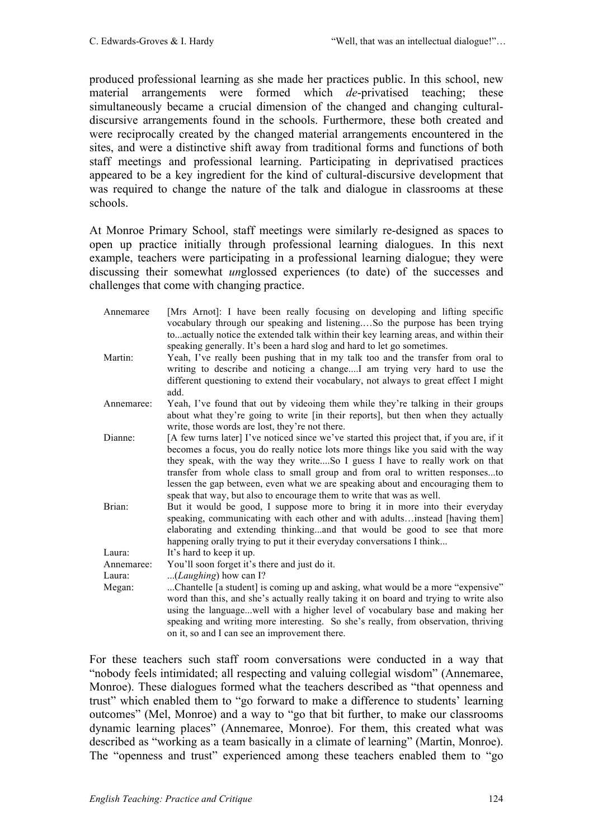produced professional learning as she made her practices public. In this school, new material arrangements were formed which *de*-privatised teaching; these simultaneously became a crucial dimension of the changed and changing culturaldiscursive arrangements found in the schools. Furthermore, these both created and were reciprocally created by the changed material arrangements encountered in the sites, and were a distinctive shift away from traditional forms and functions of both staff meetings and professional learning. Participating in deprivatised practices appeared to be a key ingredient for the kind of cultural-discursive development that was required to change the nature of the talk and dialogue in classrooms at these schools.

At Monroe Primary School, staff meetings were similarly re-designed as spaces to open up practice initially through professional learning dialogues. In this next example, teachers were participating in a professional learning dialogue; they were discussing their somewhat *un*glossed experiences (to date) of the successes and challenges that come with changing practice.

| Annemaree            | [Mrs Arnot]: I have been really focusing on developing and lifting specific<br>vocabulary through our speaking and listeningSo the purpose has been trying<br>toactually notice the extended talk within their key learning areas, and within their<br>speaking generally. It's been a hard slog and hard to let go sometimes.                                                                                                                                                                             |
|----------------------|------------------------------------------------------------------------------------------------------------------------------------------------------------------------------------------------------------------------------------------------------------------------------------------------------------------------------------------------------------------------------------------------------------------------------------------------------------------------------------------------------------|
| Martin:              | Yeah, I've really been pushing that in my talk too and the transfer from oral to<br>writing to describe and noticing a changeI am trying very hard to use the<br>different questioning to extend their vocabulary, not always to great effect I might<br>add.                                                                                                                                                                                                                                              |
| Annemaree:           | Yeah, I've found that out by videoing them while they're talking in their groups<br>about what they're going to write [in their reports], but then when they actually<br>write, those words are lost, they're not there.                                                                                                                                                                                                                                                                                   |
| Dianne:              | [A few turns later] I've noticed since we've started this project that, if you are, if it<br>becomes a focus, you do really notice lots more things like you said with the way<br>they speak, with the way they writeSo I guess I have to really work on that<br>transfer from whole class to small group and from oral to written responsesto<br>lessen the gap between, even what we are speaking about and encouraging them to<br>speak that way, but also to encourage them to write that was as well. |
| Brian:               | But it would be good, I suppose more to bring it in more into their everyday<br>speaking, communicating with each other and with adultsinstead [having them]<br>elaborating and extending thinkingand that would be good to see that more<br>happening orally trying to put it their everyday conversations I think                                                                                                                                                                                        |
| Laura:               | It's hard to keep it up.                                                                                                                                                                                                                                                                                                                                                                                                                                                                                   |
| Annemaree:<br>Laura: | You'll soon forget it's there and just do it.<br>( <i>Laughing</i> ) how can I?                                                                                                                                                                                                                                                                                                                                                                                                                            |
| Megan:               | Chantelle [a student] is coming up and asking, what would be a more "expensive"<br>word than this, and she's actually really taking it on board and trying to write also<br>using the languagewell with a higher level of vocabulary base and making her<br>speaking and writing more interesting. So she's really, from observation, thriving<br>on it, so and I can see an improvement there.                                                                                                            |

For these teachers such staff room conversations were conducted in a way that "nobody feels intimidated; all respecting and valuing collegial wisdom" (Annemaree, Monroe). These dialogues formed what the teachers described as "that openness and trust" which enabled them to "go forward to make a difference to students' learning outcomes" (Mel, Monroe) and a way to "go that bit further, to make our classrooms dynamic learning places" (Annemaree, Monroe). For them, this created what was described as "working as a team basically in a climate of learning" (Martin, Monroe). The "openness and trust" experienced among these teachers enabled them to "go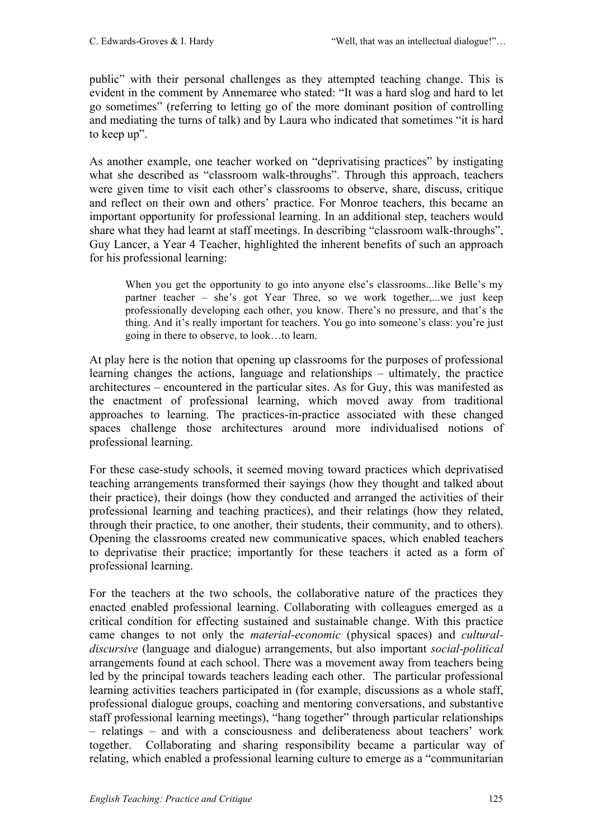public" with their personal challenges as they attempted teaching change. This is evident in the comment by Annemaree who stated: "It was a hard slog and hard to let go sometimes" (referring to letting go of the more dominant position of controlling and mediating the turns of talk) and by Laura who indicated that sometimes "it is hard to keep up".

As another example, one teacher worked on "deprivatising practices" by instigating what she described as "classroom walk-throughs". Through this approach, teachers were given time to visit each other's classrooms to observe, share, discuss, critique and reflect on their own and others' practice. For Monroe teachers, this became an important opportunity for professional learning. In an additional step, teachers would share what they had learnt at staff meetings. In describing "classroom walk-throughs", Guy Lancer, a Year 4 Teacher, highlighted the inherent benefits of such an approach for his professional learning:

When you get the opportunity to go into anyone else's classrooms...like Belle's my partner teacher – she's got Year Three, so we work together,...we just keep professionally developing each other, you know. There's no pressure, and that's the thing. And it's really important for teachers. You go into someone's class: you're just going in there to observe, to look…to learn.

At play here is the notion that opening up classrooms for the purposes of professional learning changes the actions, language and relationships – ultimately, the practice architectures – encountered in the particular sites. As for Guy, this was manifested as the enactment of professional learning, which moved away from traditional approaches to learning. The practices-in-practice associated with these changed spaces challenge those architectures around more individualised notions of professional learning.

For these case-study schools, it seemed moving toward practices which deprivatised teaching arrangements transformed their sayings (how they thought and talked about their practice), their doings (how they conducted and arranged the activities of their professional learning and teaching practices), and their relatings (how they related, through their practice, to one another, their students, their community, and to others). Opening the classrooms created new communicative spaces, which enabled teachers to deprivatise their practice; importantly for these teachers it acted as a form of professional learning.

For the teachers at the two schools, the collaborative nature of the practices they enacted enabled professional learning. Collaborating with colleagues emerged as a critical condition for effecting sustained and sustainable change. With this practice came changes to not only the *material-economic* (physical spaces) and *culturaldiscursive* (language and dialogue) arrangements, but also important *social-political* arrangements found at each school. There was a movement away from teachers being led by the principal towards teachers leading each other. The particular professional learning activities teachers participated in (for example, discussions as a whole staff, professional dialogue groups, coaching and mentoring conversations, and substantive staff professional learning meetings), "hang together" through particular relationships – relatings – and with a consciousness and deliberateness about teachers' work together. Collaborating and sharing responsibility became a particular way of relating, which enabled a professional learning culture to emerge as a "communitarian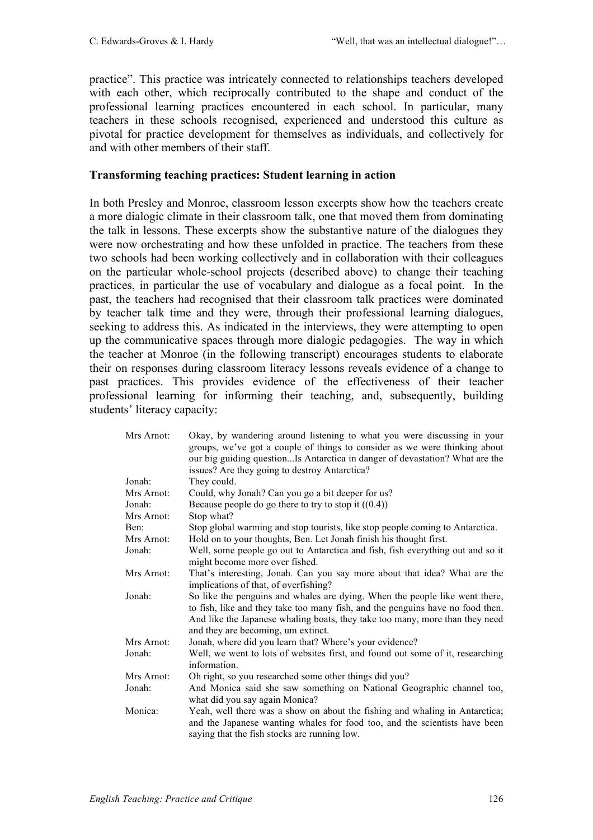practice". This practice was intricately connected to relationships teachers developed with each other, which reciprocally contributed to the shape and conduct of the professional learning practices encountered in each school. In particular, many teachers in these schools recognised, experienced and understood this culture as pivotal for practice development for themselves as individuals, and collectively for and with other members of their staff.

### **Transforming teaching practices: Student learning in action**

In both Presley and Monroe, classroom lesson excerpts show how the teachers create a more dialogic climate in their classroom talk, one that moved them from dominating the talk in lessons. These excerpts show the substantive nature of the dialogues they were now orchestrating and how these unfolded in practice. The teachers from these two schools had been working collectively and in collaboration with their colleagues on the particular whole-school projects (described above) to change their teaching practices, in particular the use of vocabulary and dialogue as a focal point. In the past, the teachers had recognised that their classroom talk practices were dominated by teacher talk time and they were, through their professional learning dialogues, seeking to address this. As indicated in the interviews, they were attempting to open up the communicative spaces through more dialogic pedagogies. The way in which the teacher at Monroe (in the following transcript) encourages students to elaborate their on responses during classroom literacy lessons reveals evidence of a change to past practices. This provides evidence of the effectiveness of their teacher professional learning for informing their teaching, and, subsequently, building students' literacy capacity:

| Mrs Arnot: | Okay, by wandering around listening to what you were discussing in your<br>groups, we've got a couple of things to consider as we were thinking about<br>our big guiding questionIs Antarctica in danger of devastation? What are the<br>issues? Are they going to destroy Antarctica? |
|------------|----------------------------------------------------------------------------------------------------------------------------------------------------------------------------------------------------------------------------------------------------------------------------------------|
| Jonah:     | They could.                                                                                                                                                                                                                                                                            |
| Mrs Arnot: | Could, why Jonah? Can you go a bit deeper for us?                                                                                                                                                                                                                                      |
| Jonah:     | Because people do go there to try to stop it $((0.4))$                                                                                                                                                                                                                                 |
| Mrs Arnot: | Stop what?                                                                                                                                                                                                                                                                             |
| Ben:       | Stop global warming and stop tourists, like stop people coming to Antarctica.                                                                                                                                                                                                          |
| Mrs Arnot: | Hold on to your thoughts, Ben. Let Jonah finish his thought first.                                                                                                                                                                                                                     |
| Jonah:     | Well, some people go out to Antarctica and fish, fish everything out and so it<br>might become more over fished.                                                                                                                                                                       |
| Mrs Arnot: | That's interesting, Jonah. Can you say more about that idea? What are the<br>implications of that, of overfishing?                                                                                                                                                                     |
| Jonah:     | So like the penguins and whales are dying. When the people like went there,<br>to fish, like and they take too many fish, and the penguins have no food then.<br>And like the Japanese whaling boats, they take too many, more than they need<br>and they are becoming, um extinct.    |
| Mrs Arnot: | Jonah, where did you learn that? Where's your evidence?                                                                                                                                                                                                                                |
| Jonah:     | Well, we went to lots of websites first, and found out some of it, researching<br>information.                                                                                                                                                                                         |
| Mrs Arnot: | Oh right, so you researched some other things did you?                                                                                                                                                                                                                                 |
| Jonah:     | And Monica said she saw something on National Geographic channel too,<br>what did you say again Monica?                                                                                                                                                                                |
| Monica:    | Yeah, well there was a show on about the fishing and whaling in Antarctica;<br>and the Japanese wanting whales for food too, and the scientists have been<br>saying that the fish stocks are running low.                                                                              |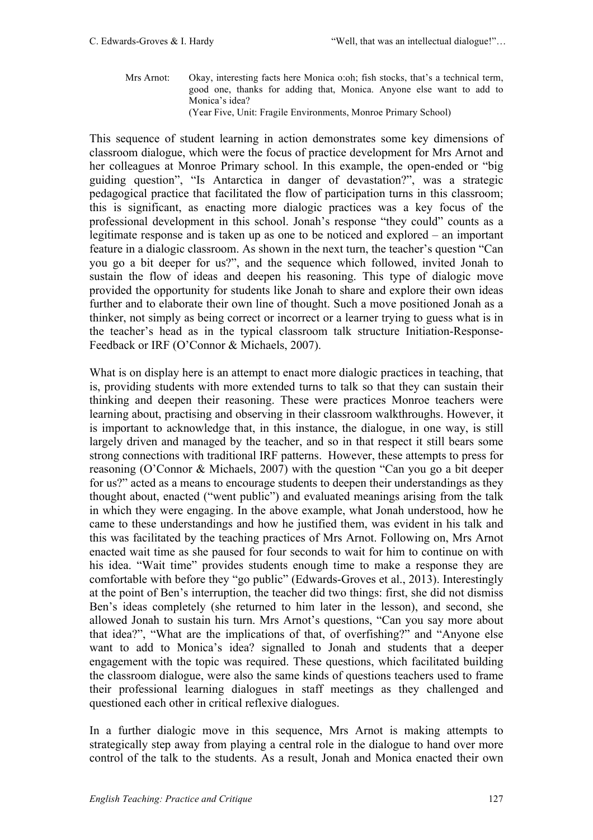Mrs Arnot: Okay, interesting facts here Monica o:oh; fish stocks, that's a technical term, good one, thanks for adding that, Monica. Anyone else want to add to Monica's idea? (Year Five, Unit: Fragile Environments, Monroe Primary School)

This sequence of student learning in action demonstrates some key dimensions of classroom dialogue, which were the focus of practice development for Mrs Arnot and her colleagues at Monroe Primary school. In this example, the open-ended or "big guiding question", "Is Antarctica in danger of devastation?", was a strategic pedagogical practice that facilitated the flow of participation turns in this classroom; this is significant, as enacting more dialogic practices was a key focus of the professional development in this school. Jonah's response "they could" counts as a legitimate response and is taken up as one to be noticed and explored – an important feature in a dialogic classroom. As shown in the next turn, the teacher's question "Can you go a bit deeper for us?", and the sequence which followed, invited Jonah to sustain the flow of ideas and deepen his reasoning. This type of dialogic move provided the opportunity for students like Jonah to share and explore their own ideas further and to elaborate their own line of thought. Such a move positioned Jonah as a thinker, not simply as being correct or incorrect or a learner trying to guess what is in the teacher's head as in the typical classroom talk structure Initiation-Response-Feedback or IRF (O'Connor & Michaels, 2007).

What is on display here is an attempt to enact more dialogic practices in teaching, that is, providing students with more extended turns to talk so that they can sustain their thinking and deepen their reasoning. These were practices Monroe teachers were learning about, practising and observing in their classroom walkthroughs. However, it is important to acknowledge that, in this instance, the dialogue, in one way, is still largely driven and managed by the teacher, and so in that respect it still bears some strong connections with traditional IRF patterns. However, these attempts to press for reasoning (O'Connor & Michaels, 2007) with the question "Can you go a bit deeper for us?" acted as a means to encourage students to deepen their understandings as they thought about, enacted ("went public") and evaluated meanings arising from the talk in which they were engaging. In the above example, what Jonah understood, how he came to these understandings and how he justified them, was evident in his talk and this was facilitated by the teaching practices of Mrs Arnot. Following on, Mrs Arnot enacted wait time as she paused for four seconds to wait for him to continue on with his idea. "Wait time" provides students enough time to make a response they are comfortable with before they "go public" (Edwards-Groves et al., 2013). Interestingly at the point of Ben's interruption, the teacher did two things: first, she did not dismiss Ben's ideas completely (she returned to him later in the lesson), and second, she allowed Jonah to sustain his turn. Mrs Arnot's questions, "Can you say more about that idea?", "What are the implications of that, of overfishing?" and "Anyone else want to add to Monica's idea? signalled to Jonah and students that a deeper engagement with the topic was required. These questions, which facilitated building the classroom dialogue, were also the same kinds of questions teachers used to frame their professional learning dialogues in staff meetings as they challenged and questioned each other in critical reflexive dialogues.

In a further dialogic move in this sequence, Mrs Arnot is making attempts to strategically step away from playing a central role in the dialogue to hand over more control of the talk to the students. As a result, Jonah and Monica enacted their own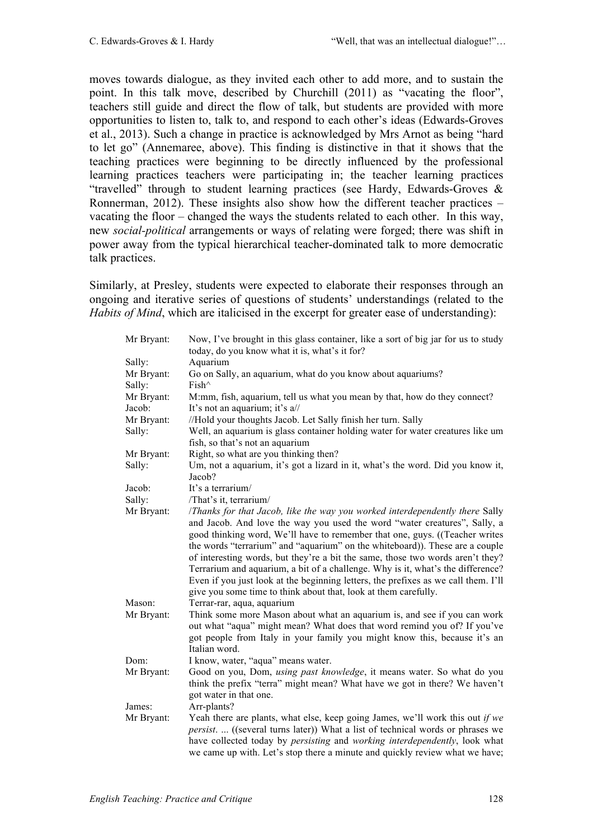moves towards dialogue, as they invited each other to add more, and to sustain the point. In this talk move, described by Churchill (2011) as "vacating the floor", teachers still guide and direct the flow of talk, but students are provided with more opportunities to listen to, talk to, and respond to each other's ideas (Edwards-Groves et al., 2013). Such a change in practice is acknowledged by Mrs Arnot as being "hard to let go" (Annemaree, above). This finding is distinctive in that it shows that the teaching practices were beginning to be directly influenced by the professional learning practices teachers were participating in; the teacher learning practices "travelled" through to student learning practices (see Hardy, Edwards-Groves  $\&$ Ronnerman, 2012). These insights also show how the different teacher practices – vacating the floor – changed the ways the students related to each other. In this way, new *social-political* arrangements or ways of relating were forged; there was shift in power away from the typical hierarchical teacher-dominated talk to more democratic talk practices.

Similarly, at Presley, students were expected to elaborate their responses through an ongoing and iterative series of questions of students' understandings (related to the *Habits of Mind*, which are italicised in the excerpt for greater ease of understanding):

| Mr Bryant: | Now, I've brought in this glass container, like a sort of big jar for us to study<br>today, do you know what it is, what's it for?                    |
|------------|-------------------------------------------------------------------------------------------------------------------------------------------------------|
| Sally:     | Aquarium                                                                                                                                              |
| Mr Bryant: | Go on Sally, an aquarium, what do you know about aquariums?                                                                                           |
| Sally:     | Fish^                                                                                                                                                 |
| Mr Bryant: | M:mm, fish, aquarium, tell us what you mean by that, how do they connect?                                                                             |
| Jacob:     | It's not an aquarium; it's a//                                                                                                                        |
| Mr Bryant: | //Hold your thoughts Jacob. Let Sally finish her turn. Sally                                                                                          |
| Sally:     | Well, an aquarium is glass container holding water for water creatures like um                                                                        |
|            | fish, so that's not an aquarium                                                                                                                       |
| Mr Bryant: | Right, so what are you thinking then?                                                                                                                 |
| Sally:     | Um, not a aquarium, it's got a lizard in it, what's the word. Did you know it,                                                                        |
|            | Jacob?                                                                                                                                                |
| Jacob:     | It's a terrarium/                                                                                                                                     |
| Sally:     | /That's it, terrarium/                                                                                                                                |
| Mr Bryant: | /Thanks for that Jacob, like the way you worked interdependently there Sally                                                                          |
|            | and Jacob. And love the way you used the word "water creatures", Sally, a                                                                             |
|            | good thinking word, We'll have to remember that one, guys. ((Teacher writes                                                                           |
|            | the words "terrarium" and "aquarium" on the whiteboard)). These are a couple                                                                          |
|            | of interesting words, but they're a bit the same, those two words aren't they?                                                                        |
|            | Terrarium and aquarium, a bit of a challenge. Why is it, what's the difference?                                                                       |
|            | Even if you just look at the beginning letters, the prefixes as we call them. I'll<br>give you some time to think about that, look at them carefully. |
| Mason:     |                                                                                                                                                       |
| Mr Bryant: | Terrar-rar, aqua, aquarium<br>Think some more Mason about what an aquarium is, and see if you can work                                                |
|            | out what "aqua" might mean? What does that word remind you of? If you've                                                                              |
|            | got people from Italy in your family you might know this, because it's an                                                                             |
|            | Italian word.                                                                                                                                         |
| Dom:       | I know, water, "aqua" means water.                                                                                                                    |
| Mr Bryant: | Good on you, Dom, using past knowledge, it means water. So what do you                                                                                |
|            | think the prefix "terra" might mean? What have we got in there? We haven't                                                                            |
|            | got water in that one.                                                                                                                                |
| James:     | Arr-plants?                                                                                                                                           |
| Mr Bryant: | Yeah there are plants, what else, keep going James, we'll work this out if we                                                                         |
|            | <i>persist.</i> ((several turns later)) What a list of technical words or phrases we                                                                  |
|            | have collected today by persisting and working interdependently, look what                                                                            |
|            | we came up with. Let's stop there a minute and quickly review what we have;                                                                           |
|            |                                                                                                                                                       |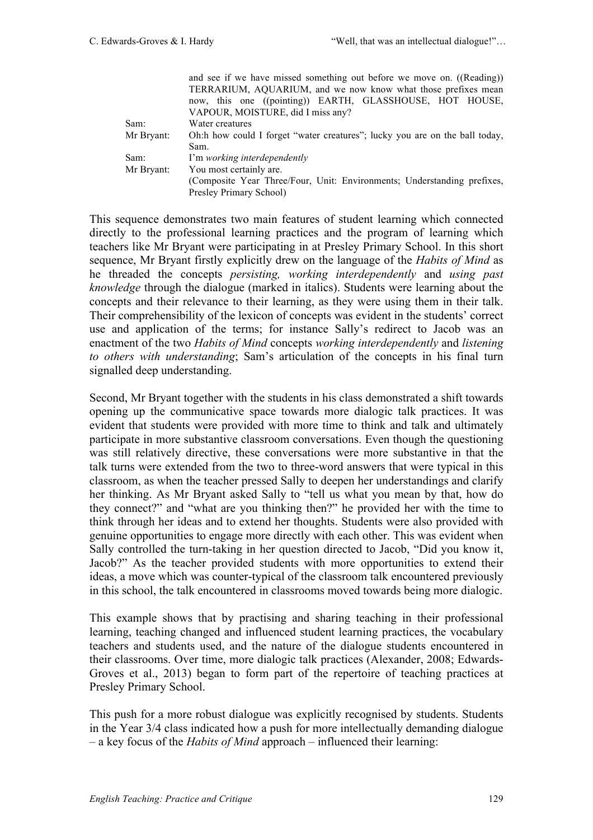|            | and see if we have missed something out before we move on. ((Reading))      |
|------------|-----------------------------------------------------------------------------|
|            | TERRARIUM, AQUARIUM, and we now know what those prefixes mean               |
|            | now, this one ((pointing)) EARTH, GLASSHOUSE, HOT HOUSE,                    |
|            | VAPOUR, MOISTURE, did I miss any?                                           |
| Sam:       | Water creatures                                                             |
| Mr Bryant: | Oh:h how could I forget "water creatures"; lucky you are on the ball today, |
|            | Sam.                                                                        |
| Sam:       | I'm working interdependently                                                |
| Mr Bryant: | You most certainly are.                                                     |
|            | (Composite Year Three/Four, Unit: Environments; Understanding prefixes,     |
|            | Presley Primary School)                                                     |

This sequence demonstrates two main features of student learning which connected directly to the professional learning practices and the program of learning which teachers like Mr Bryant were participating in at Presley Primary School. In this short sequence, Mr Bryant firstly explicitly drew on the language of the *Habits of Mind* as he threaded the concepts *persisting, working interdependently* and *using past knowledge* through the dialogue (marked in italics). Students were learning about the concepts and their relevance to their learning, as they were using them in their talk. Their comprehensibility of the lexicon of concepts was evident in the students' correct use and application of the terms; for instance Sally's redirect to Jacob was an enactment of the two *Habits of Mind* concepts *working interdependently* and *listening to others with understanding*; Sam's articulation of the concepts in his final turn signalled deep understanding.

Second, Mr Bryant together with the students in his class demonstrated a shift towards opening up the communicative space towards more dialogic talk practices. It was evident that students were provided with more time to think and talk and ultimately participate in more substantive classroom conversations. Even though the questioning was still relatively directive, these conversations were more substantive in that the talk turns were extended from the two to three-word answers that were typical in this classroom, as when the teacher pressed Sally to deepen her understandings and clarify her thinking. As Mr Bryant asked Sally to "tell us what you mean by that, how do they connect?" and "what are you thinking then?" he provided her with the time to think through her ideas and to extend her thoughts. Students were also provided with genuine opportunities to engage more directly with each other. This was evident when Sally controlled the turn-taking in her question directed to Jacob, "Did you know it, Jacob?" As the teacher provided students with more opportunities to extend their ideas, a move which was counter-typical of the classroom talk encountered previously in this school, the talk encountered in classrooms moved towards being more dialogic.

This example shows that by practising and sharing teaching in their professional learning, teaching changed and influenced student learning practices, the vocabulary teachers and students used, and the nature of the dialogue students encountered in their classrooms. Over time, more dialogic talk practices (Alexander, 2008; Edwards-Groves et al., 2013) began to form part of the repertoire of teaching practices at Presley Primary School.

This push for a more robust dialogue was explicitly recognised by students. Students in the Year 3/4 class indicated how a push for more intellectually demanding dialogue – a key focus of the *Habits of Mind* approach – influenced their learning: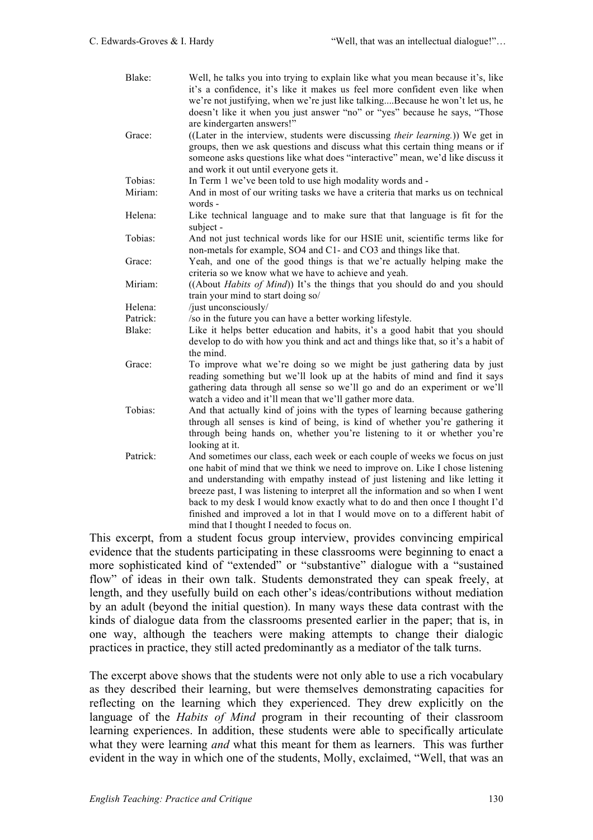| Blake:   | Well, he talks you into trying to explain like what you mean because it's, like<br>it's a confidence, it's like it makes us feel more confident even like when<br>we're not justifying, when we're just like talkingBecause he won't let us, he<br>doesn't like it when you just answer "no" or "yes" because he says, "Those<br>are kindergarten answers!"                                                                                                                                                                                                                                                                                             |
|----------|---------------------------------------------------------------------------------------------------------------------------------------------------------------------------------------------------------------------------------------------------------------------------------------------------------------------------------------------------------------------------------------------------------------------------------------------------------------------------------------------------------------------------------------------------------------------------------------------------------------------------------------------------------|
| Grace:   | ((Later in the interview, students were discussing their learning.)) We get in<br>groups, then we ask questions and discuss what this certain thing means or if<br>someone asks questions like what does "interactive" mean, we'd like discuss it<br>and work it out until everyone gets it.                                                                                                                                                                                                                                                                                                                                                            |
| Tobias:  | In Term 1 we've been told to use high modality words and -                                                                                                                                                                                                                                                                                                                                                                                                                                                                                                                                                                                              |
| Miriam:  | And in most of our writing tasks we have a criteria that marks us on technical<br>words -                                                                                                                                                                                                                                                                                                                                                                                                                                                                                                                                                               |
| Helena:  | Like technical language and to make sure that that language is fit for the<br>subject -                                                                                                                                                                                                                                                                                                                                                                                                                                                                                                                                                                 |
| Tobias:  | And not just technical words like for our HSIE unit, scientific terms like for<br>non-metals for example, SO4 and C1- and CO3 and things like that.                                                                                                                                                                                                                                                                                                                                                                                                                                                                                                     |
| Grace:   | Yeah, and one of the good things is that we're actually helping make the<br>criteria so we know what we have to achieve and yeah.                                                                                                                                                                                                                                                                                                                                                                                                                                                                                                                       |
| Miriam:  | ((About <i>Habits of Mind</i> )) It's the things that you should do and you should<br>train your mind to start doing so/                                                                                                                                                                                                                                                                                                                                                                                                                                                                                                                                |
| Helena:  | /just unconsciously/                                                                                                                                                                                                                                                                                                                                                                                                                                                                                                                                                                                                                                    |
| Patrick: | /so in the future you can have a better working lifestyle.                                                                                                                                                                                                                                                                                                                                                                                                                                                                                                                                                                                              |
| Blake:   | Like it helps better education and habits, it's a good habit that you should<br>develop to do with how you think and act and things like that, so it's a habit of<br>the mind.                                                                                                                                                                                                                                                                                                                                                                                                                                                                          |
| Grace:   | To improve what we're doing so we might be just gathering data by just<br>reading something but we'll look up at the habits of mind and find it says<br>gathering data through all sense so we'll go and do an experiment or we'll<br>watch a video and it'll mean that we'll gather more data.                                                                                                                                                                                                                                                                                                                                                         |
| Tobias:  | And that actually kind of joins with the types of learning because gathering<br>through all senses is kind of being, is kind of whether you're gathering it<br>through being hands on, whether you're listening to it or whether you're<br>looking at it.                                                                                                                                                                                                                                                                                                                                                                                               |
| Patrick: | And sometimes our class, each week or each couple of weeks we focus on just<br>one habit of mind that we think we need to improve on. Like I chose listening<br>and understanding with empathy instead of just listening and like letting it<br>breeze past, I was listening to interpret all the information and so when I went<br>back to my desk I would know exactly what to do and then once I thought I'd<br>finished and improved a lot in that I would move on to a different habit of<br>mind that I thought I needed to focus on.<br>$\mathbf{r}$ and $\mathbf{r}$ and $\mathbf{r}$ and $\mathbf{r}$ and $\mathbf{r}$<br>$\sim$ $\sim$ $\sim$ |

This excerpt, from a student focus group interview, provides convincing empirical evidence that the students participating in these classrooms were beginning to enact a more sophisticated kind of "extended" or "substantive" dialogue with a "sustained flow" of ideas in their own talk. Students demonstrated they can speak freely, at length, and they usefully build on each other's ideas/contributions without mediation by an adult (beyond the initial question). In many ways these data contrast with the kinds of dialogue data from the classrooms presented earlier in the paper; that is, in one way, although the teachers were making attempts to change their dialogic practices in practice, they still acted predominantly as a mediator of the talk turns.

The excerpt above shows that the students were not only able to use a rich vocabulary as they described their learning, but were themselves demonstrating capacities for reflecting on the learning which they experienced. They drew explicitly on the language of the *Habits of Mind* program in their recounting of their classroom learning experiences. In addition, these students were able to specifically articulate what they were learning *and* what this meant for them as learners. This was further evident in the way in which one of the students, Molly, exclaimed, "Well, that was an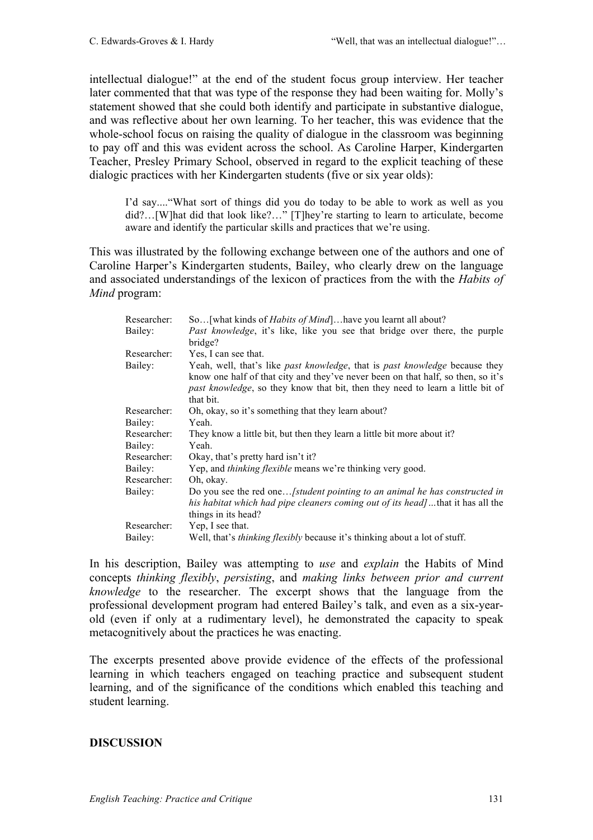intellectual dialogue!" at the end of the student focus group interview. Her teacher later commented that that was type of the response they had been waiting for. Molly's statement showed that she could both identify and participate in substantive dialogue, and was reflective about her own learning. To her teacher, this was evidence that the whole-school focus on raising the quality of dialogue in the classroom was beginning to pay off and this was evident across the school. As Caroline Harper, Kindergarten Teacher, Presley Primary School, observed in regard to the explicit teaching of these dialogic practices with her Kindergarten students (five or six year olds):

I'd say...."What sort of things did you do today to be able to work as well as you did?…[W]hat did that look like?…" [T]hey're starting to learn to articulate, become aware and identify the particular skills and practices that we're using.

This was illustrated by the following exchange between one of the authors and one of Caroline Harper's Kindergarten students, Bailey, who clearly drew on the language and associated understandings of the lexicon of practices from the with the *Habits of Mind* program:

| Researcher: | So [what kinds of <i>Habits of Mind</i> ] have you learnt all about?               |
|-------------|------------------------------------------------------------------------------------|
| Bailey:     | <i>Past knowledge</i> , it's like, like you see that bridge over there, the purple |
|             | bridge?                                                                            |
| Researcher: | Yes, I can see that.                                                               |
| Bailey:     | Yeah, well, that's like past knowledge, that is past knowledge because they        |
|             | know one half of that city and they've never been on that half, so then, so it's   |
|             | past knowledge, so they know that bit, then they need to learn a little bit of     |
|             | that bit.                                                                          |
| Researcher: | Oh, okay, so it's something that they learn about?                                 |
| Bailey:     | Yeah.                                                                              |
| Researcher: | They know a little bit, but then they learn a little bit more about it?            |
| Bailey:     | Yeah.                                                                              |
| Researcher: | Okay, that's pretty hard isn't it?                                                 |
| Bailey:     | Yep, and <i>thinking flexible</i> means we're thinking very good.                  |
| Researcher: | Oh, okay.                                                                          |
| Bailey:     | Do you see the red one [student pointing to an animal he has constructed in        |
|             | his habitat which had pipe cleaners coming out of its head]that it has all the     |
|             | things in its head?                                                                |
| Researcher: | Yep, I see that.                                                                   |
| Bailey:     | Well, that's <i>thinking flexibly</i> because it's thinking about a lot of stuff.  |

In his description, Bailey was attempting to *use* and *explain* the Habits of Mind concepts *thinking flexibly*, *persisting*, and *making links between prior and current knowledge* to the researcher. The excerpt shows that the language from the professional development program had entered Bailey's talk, and even as a six-yearold (even if only at a rudimentary level), he demonstrated the capacity to speak metacognitively about the practices he was enacting.

The excerpts presented above provide evidence of the effects of the professional learning in which teachers engaged on teaching practice and subsequent student learning, and of the significance of the conditions which enabled this teaching and student learning.

### **DISCUSSION**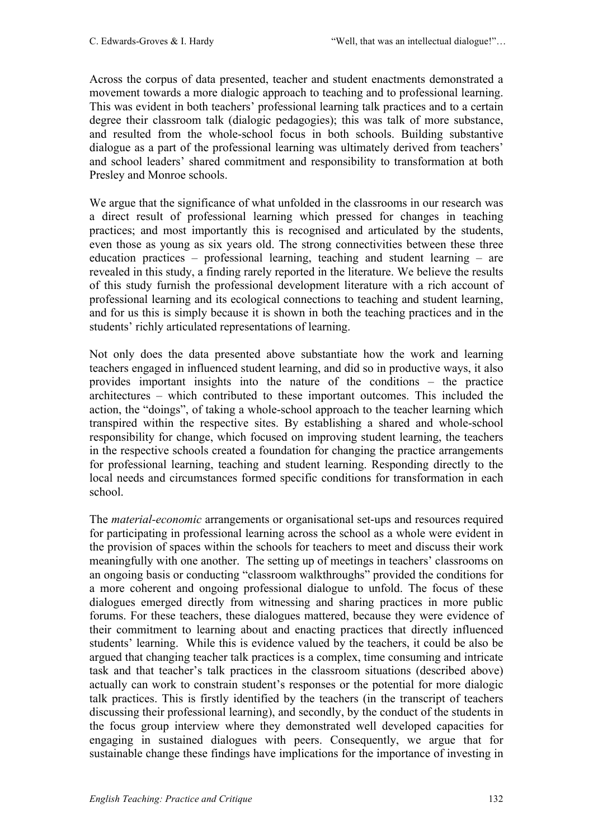Across the corpus of data presented, teacher and student enactments demonstrated a movement towards a more dialogic approach to teaching and to professional learning. This was evident in both teachers' professional learning talk practices and to a certain degree their classroom talk (dialogic pedagogies); this was talk of more substance, and resulted from the whole-school focus in both schools. Building substantive dialogue as a part of the professional learning was ultimately derived from teachers' and school leaders' shared commitment and responsibility to transformation at both Presley and Monroe schools.

We argue that the significance of what unfolded in the classrooms in our research was a direct result of professional learning which pressed for changes in teaching practices; and most importantly this is recognised and articulated by the students, even those as young as six years old. The strong connectivities between these three education practices – professional learning, teaching and student learning – are revealed in this study, a finding rarely reported in the literature. We believe the results of this study furnish the professional development literature with a rich account of professional learning and its ecological connections to teaching and student learning, and for us this is simply because it is shown in both the teaching practices and in the students' richly articulated representations of learning.

Not only does the data presented above substantiate how the work and learning teachers engaged in influenced student learning, and did so in productive ways, it also provides important insights into the nature of the conditions – the practice architectures – which contributed to these important outcomes. This included the action, the "doings", of taking a whole-school approach to the teacher learning which transpired within the respective sites. By establishing a shared and whole-school responsibility for change, which focused on improving student learning, the teachers in the respective schools created a foundation for changing the practice arrangements for professional learning, teaching and student learning. Responding directly to the local needs and circumstances formed specific conditions for transformation in each school.

The *material-economic* arrangements or organisational set-ups and resources required for participating in professional learning across the school as a whole were evident in the provision of spaces within the schools for teachers to meet and discuss their work meaningfully with one another. The setting up of meetings in teachers' classrooms on an ongoing basis or conducting "classroom walkthroughs" provided the conditions for a more coherent and ongoing professional dialogue to unfold. The focus of these dialogues emerged directly from witnessing and sharing practices in more public forums. For these teachers, these dialogues mattered, because they were evidence of their commitment to learning about and enacting practices that directly influenced students' learning. While this is evidence valued by the teachers, it could be also be argued that changing teacher talk practices is a complex, time consuming and intricate task and that teacher's talk practices in the classroom situations (described above) actually can work to constrain student's responses or the potential for more dialogic talk practices. This is firstly identified by the teachers (in the transcript of teachers discussing their professional learning), and secondly, by the conduct of the students in the focus group interview where they demonstrated well developed capacities for engaging in sustained dialogues with peers. Consequently, we argue that for sustainable change these findings have implications for the importance of investing in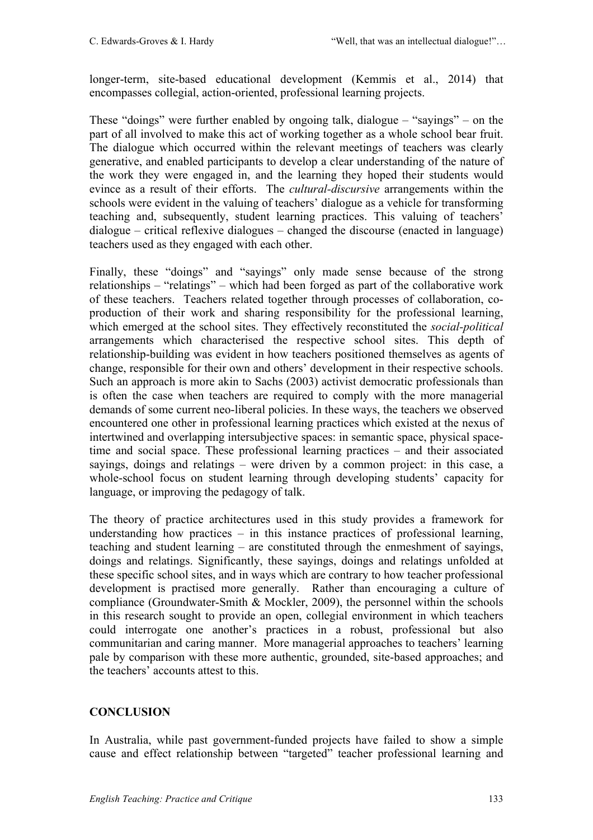longer-term, site-based educational development (Kemmis et al., 2014) that encompasses collegial, action-oriented, professional learning projects.

These "doings" were further enabled by ongoing talk, dialogue – "sayings" – on the part of all involved to make this act of working together as a whole school bear fruit. The dialogue which occurred within the relevant meetings of teachers was clearly generative, and enabled participants to develop a clear understanding of the nature of the work they were engaged in, and the learning they hoped their students would evince as a result of their efforts. The *cultural-discursive* arrangements within the schools were evident in the valuing of teachers' dialogue as a vehicle for transforming teaching and, subsequently, student learning practices. This valuing of teachers' dialogue – critical reflexive dialogues – changed the discourse (enacted in language) teachers used as they engaged with each other.

Finally, these "doings" and "sayings" only made sense because of the strong relationships – "relatings" – which had been forged as part of the collaborative work of these teachers. Teachers related together through processes of collaboration, coproduction of their work and sharing responsibility for the professional learning, which emerged at the school sites. They effectively reconstituted the *social-political*  arrangements which characterised the respective school sites. This depth of relationship-building was evident in how teachers positioned themselves as agents of change, responsible for their own and others' development in their respective schools. Such an approach is more akin to Sachs (2003) activist democratic professionals than is often the case when teachers are required to comply with the more managerial demands of some current neo-liberal policies. In these ways, the teachers we observed encountered one other in professional learning practices which existed at the nexus of intertwined and overlapping intersubjective spaces: in semantic space, physical spacetime and social space. These professional learning practices – and their associated sayings, doings and relatings – were driven by a common project: in this case, a whole-school focus on student learning through developing students' capacity for language, or improving the pedagogy of talk.

The theory of practice architectures used in this study provides a framework for understanding how practices – in this instance practices of professional learning, teaching and student learning – are constituted through the enmeshment of sayings, doings and relatings. Significantly, these sayings, doings and relatings unfolded at these specific school sites, and in ways which are contrary to how teacher professional development is practised more generally. Rather than encouraging a culture of compliance (Groundwater-Smith & Mockler, 2009), the personnel within the schools in this research sought to provide an open, collegial environment in which teachers could interrogate one another's practices in a robust, professional but also communitarian and caring manner. More managerial approaches to teachers' learning pale by comparison with these more authentic, grounded, site-based approaches; and the teachers' accounts attest to this.

# **CONCLUSION**

In Australia, while past government-funded projects have failed to show a simple cause and effect relationship between "targeted" teacher professional learning and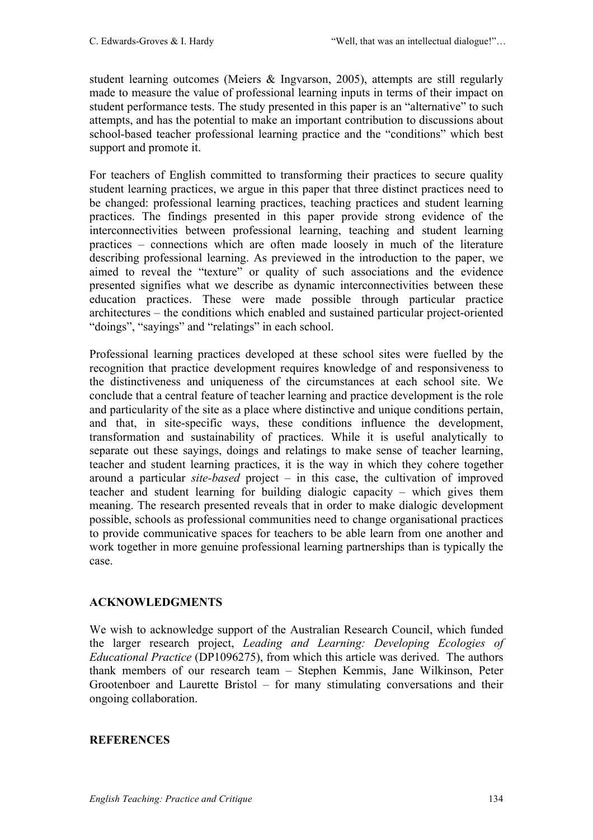student learning outcomes (Meiers & Ingvarson, 2005), attempts are still regularly made to measure the value of professional learning inputs in terms of their impact on student performance tests. The study presented in this paper is an "alternative" to such attempts, and has the potential to make an important contribution to discussions about school-based teacher professional learning practice and the "conditions" which best support and promote it.

For teachers of English committed to transforming their practices to secure quality student learning practices, we argue in this paper that three distinct practices need to be changed: professional learning practices, teaching practices and student learning practices. The findings presented in this paper provide strong evidence of the interconnectivities between professional learning, teaching and student learning practices – connections which are often made loosely in much of the literature describing professional learning. As previewed in the introduction to the paper, we aimed to reveal the "texture" or quality of such associations and the evidence presented signifies what we describe as dynamic interconnectivities between these education practices. These were made possible through particular practice architectures – the conditions which enabled and sustained particular project-oriented "doings", "sayings" and "relatings" in each school.

Professional learning practices developed at these school sites were fuelled by the recognition that practice development requires knowledge of and responsiveness to the distinctiveness and uniqueness of the circumstances at each school site. We conclude that a central feature of teacher learning and practice development is the role and particularity of the site as a place where distinctive and unique conditions pertain, and that, in site-specific ways, these conditions influence the development, transformation and sustainability of practices. While it is useful analytically to separate out these sayings, doings and relatings to make sense of teacher learning, teacher and student learning practices, it is the way in which they cohere together around a particular *site-based* project – in this case, the cultivation of improved teacher and student learning for building dialogic capacity – which gives them meaning. The research presented reveals that in order to make dialogic development possible, schools as professional communities need to change organisational practices to provide communicative spaces for teachers to be able learn from one another and work together in more genuine professional learning partnerships than is typically the case.

### **ACKNOWLEDGMENTS**

We wish to acknowledge support of the Australian Research Council, which funded the larger research project, *Leading and Learning: Developing Ecologies of Educational Practice* (DP1096275), from which this article was derived. The authors thank members of our research team – Stephen Kemmis, Jane Wilkinson, Peter Grootenboer and Laurette Bristol – for many stimulating conversations and their ongoing collaboration.

### **REFERENCES**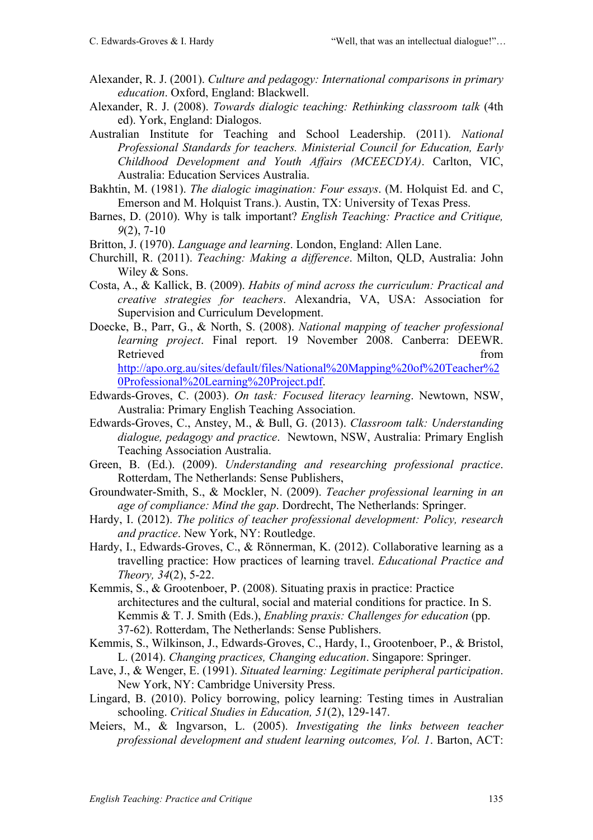- Alexander, R. J. (2001). *Culture and pedagogy: International comparisons in primary education*. Oxford, England: Blackwell.
- Alexander, R. J. (2008). *Towards dialogic teaching: Rethinking classroom talk* (4th ed). York, England: Dialogos.
- Australian Institute for Teaching and School Leadership. (2011). *National Professional Standards for teachers. Ministerial Council for Education, Early Childhood Development and Youth Affairs (MCEECDYA)*. Carlton, VIC, Australia: Education Services Australia.
- Bakhtin, M. (1981). *The dialogic imagination: Four essays*. (M. Holquist Ed. and C, Emerson and M. Holquist Trans.). Austin, TX: University of Texas Press.
- Barnes, D. (2010). Why is talk important? *English Teaching: Practice and Critique, 9*(2), 7-10
- Britton, J. (1970). *Language and learning*. London, England: Allen Lane.
- Churchill, R. (2011). *Teaching: Making a difference*. Milton, QLD, Australia: John Wiley & Sons.
- Costa, A., & Kallick, B. (2009). *Habits of mind across the curriculum: Practical and creative strategies for teachers*. Alexandria, VA, USA: Association for Supervision and Curriculum Development.
- Doecke, B., Parr, G., & North, S. (2008). *National mapping of teacher professional learning project*. Final report. 19 November 2008. Canberra: DEEWR. Retrieved from the state of the state of the state of the state of the state of the state of the state of the state of the state of the state of the state of the state of the state of the state of the state of the state of http://apo.org.au/sites/default/files/National%20Mapping%20of%20Teacher%2

0Professional%20Learning%20Project.pdf. Edwards-Groves, C. (2003). *On task: Focused literacy learning*. Newtown, NSW, Australia: Primary English Teaching Association.

- Edwards-Groves, C., Anstey, M., & Bull, G. (2013). *Classroom talk: Understanding dialogue, pedagogy and practice*. Newtown, NSW, Australia: Primary English Teaching Association Australia.
- Green, B. (Ed.). (2009). *Understanding and researching professional practice*. Rotterdam, The Netherlands: Sense Publishers,
- Groundwater-Smith, S., & Mockler, N. (2009). *Teacher professional learning in an age of compliance: Mind the gap*. Dordrecht, The Netherlands: Springer.
- Hardy, I. (2012). *The politics of teacher professional development: Policy, research and practice*. New York, NY: Routledge.
- Hardy, I., Edwards-Groves, C., & Rönnerman, K. (2012). Collaborative learning as a travelling practice: How practices of learning travel. *Educational Practice and Theory, 34*(2), 5-22.
- Kemmis, S., & Grootenboer, P. (2008). Situating praxis in practice: Practice architectures and the cultural, social and material conditions for practice. In S. Kemmis & T. J. Smith (Eds.), *Enabling praxis: Challenges for education* (pp. 37-62). Rotterdam, The Netherlands: Sense Publishers.
- Kemmis, S., Wilkinson, J., Edwards-Groves, C., Hardy, I., Grootenboer, P., & Bristol, L. (2014). *Changing practices, Changing education*. Singapore: Springer.
- Lave, J., & Wenger, E. (1991). *Situated learning: Legitimate peripheral participation*. New York, NY: Cambridge University Press.
- Lingard, B. (2010). Policy borrowing, policy learning: Testing times in Australian schooling. *Critical Studies in Education, 51*(2), 129-147.
- Meiers, M., & Ingvarson, L. (2005). *Investigating the links between teacher professional development and student learning outcomes, Vol. 1*. Barton, ACT: